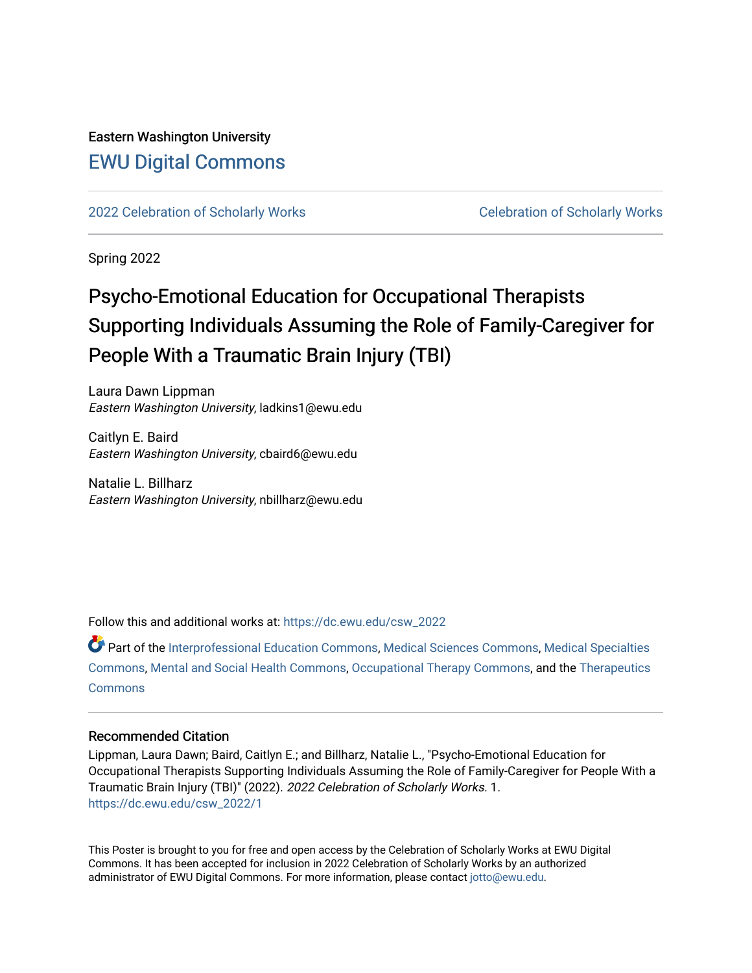#### Eastern Washington University [EWU Digital Commons](https://dc.ewu.edu/)

[2022 Celebration of Scholarly Works](https://dc.ewu.edu/csw_2022) [Celebration of Scholarly Works](https://dc.ewu.edu/csw) 

Spring 2022

#### Psycho-Emotional Education for Occupational Therapists Supporting Individuals Assuming the Role of Family-Caregiver for People With a Traumatic Brain Injury (TBI)

Laura Dawn Lippman Eastern Washington University, ladkins1@ewu.edu

Caitlyn E. Baird Eastern Washington University, cbaird6@ewu.edu

Natalie L. Billharz Eastern Washington University, nbillharz@ewu.edu

Follow this and additional works at: [https://dc.ewu.edu/csw\\_2022](https://dc.ewu.edu/csw_2022?utm_source=dc.ewu.edu%2Fcsw_2022%2F1&utm_medium=PDF&utm_campaign=PDFCoverPages)

Part of the [Interprofessional Education Commons,](http://network.bepress.com/hgg/discipline/1372?utm_source=dc.ewu.edu%2Fcsw_2022%2F1&utm_medium=PDF&utm_campaign=PDFCoverPages) [Medical Sciences Commons,](http://network.bepress.com/hgg/discipline/664?utm_source=dc.ewu.edu%2Fcsw_2022%2F1&utm_medium=PDF&utm_campaign=PDFCoverPages) [Medical Specialties](http://network.bepress.com/hgg/discipline/680?utm_source=dc.ewu.edu%2Fcsw_2022%2F1&utm_medium=PDF&utm_campaign=PDFCoverPages) [Commons](http://network.bepress.com/hgg/discipline/680?utm_source=dc.ewu.edu%2Fcsw_2022%2F1&utm_medium=PDF&utm_campaign=PDFCoverPages), [Mental and Social Health Commons](http://network.bepress.com/hgg/discipline/709?utm_source=dc.ewu.edu%2Fcsw_2022%2F1&utm_medium=PDF&utm_campaign=PDFCoverPages), [Occupational Therapy Commons,](http://network.bepress.com/hgg/discipline/752?utm_source=dc.ewu.edu%2Fcsw_2022%2F1&utm_medium=PDF&utm_campaign=PDFCoverPages) and the [Therapeutics](http://network.bepress.com/hgg/discipline/993?utm_source=dc.ewu.edu%2Fcsw_2022%2F1&utm_medium=PDF&utm_campaign=PDFCoverPages)  **[Commons](http://network.bepress.com/hgg/discipline/993?utm_source=dc.ewu.edu%2Fcsw_2022%2F1&utm_medium=PDF&utm_campaign=PDFCoverPages)** 

#### Recommended Citation

Lippman, Laura Dawn; Baird, Caitlyn E.; and Billharz, Natalie L., "Psycho-Emotional Education for Occupational Therapists Supporting Individuals Assuming the Role of Family-Caregiver for People With a Traumatic Brain Injury (TBI)" (2022). 2022 Celebration of Scholarly Works. 1. [https://dc.ewu.edu/csw\\_2022/1](https://dc.ewu.edu/csw_2022/1?utm_source=dc.ewu.edu%2Fcsw_2022%2F1&utm_medium=PDF&utm_campaign=PDFCoverPages) 

This Poster is brought to you for free and open access by the Celebration of Scholarly Works at EWU Digital Commons. It has been accepted for inclusion in 2022 Celebration of Scholarly Works by an authorized administrator of EWU Digital Commons. For more information, please contact [jotto@ewu.edu.](mailto:jotto@ewu.edu)